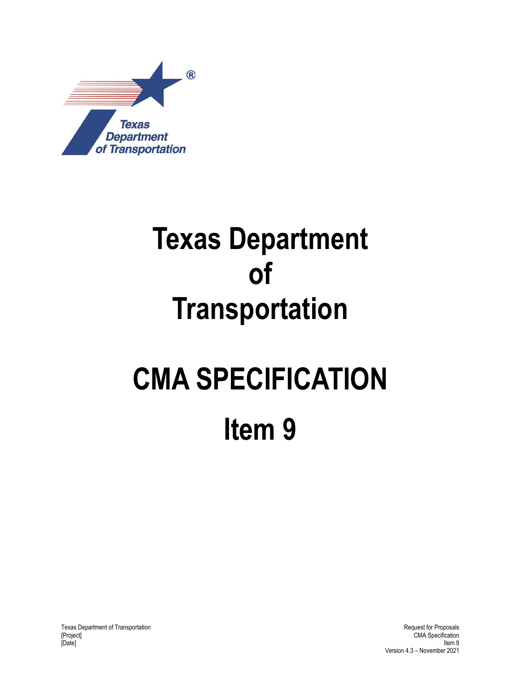

## **Texas Department of Transportation**

# **CMA SPECIFICATION**

**Item 9** 

Texas Department of Transportation and the control of Transportation and the control of Transportation and the control of Proposals CMA Specification and Request for Proposals CMA Specification and Request for Proposals CM [Date] Item 9

CMA Specification Version 4.3 – November 2021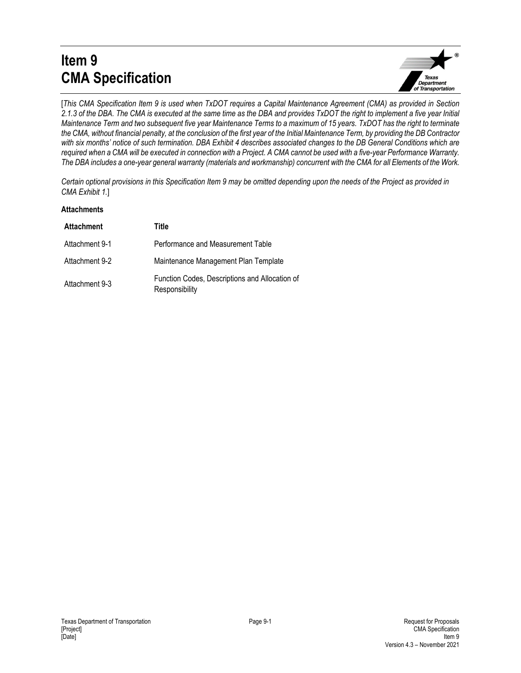## **Item 9 CMA Specification**



[*This CMA Specification Item 9 is used when TxDOT requires a Capital Maintenance Agreement (CMA) as provided in Section 2.1.3 of the DBA. The CMA is executed at the same time as the DBA and provides TxDOT the right to implement a five year Initial Maintenance Term and two subsequent five year Maintenance Terms to a maximum of 15 years. TxDOT has the right to terminate the CMA, without financial penalty, at the conclusion of the first year of the Initial Maintenance Term, by providing the DB Contractor with six months' notice of such termination. DBA Exhibit 4 describes associated changes to the DB General Conditions which are required when a CMA will be executed in connection with a Project. A CMA cannot be used with a five-year Performance Warranty. The DBA includes a one-year general warranty (materials and workmanship) concurrent with the CMA for all Elements of the Work.* 

*Certain optional provisions in this Specification Item 9 may be omitted depending upon the needs of the Project as provided in CMA Exhibit 1.*]

#### **Attachments**

| <b>Attachment</b> | Title                                                            |
|-------------------|------------------------------------------------------------------|
| Attachment 9-1    | Performance and Measurement Table                                |
| Attachment 9-2    | Maintenance Management Plan Template                             |
| Attachment 9-3    | Function Codes, Descriptions and Allocation of<br>Responsibility |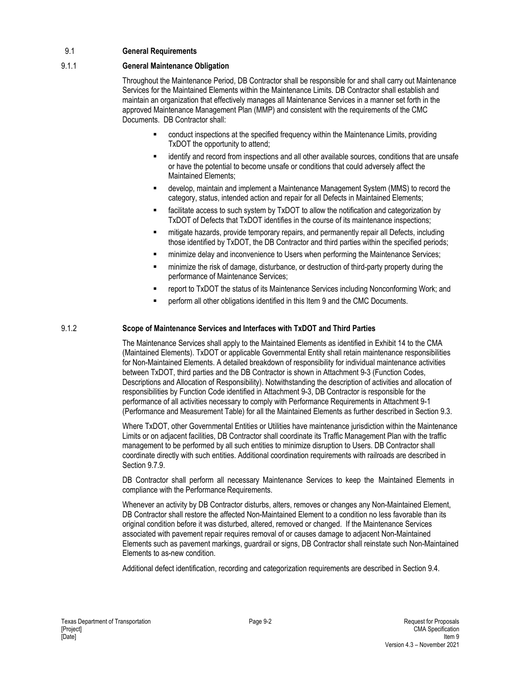## 9.1 **General Requirements**

## 9.1.1 **General Maintenance Obligation**

Throughout the Maintenance Period, DB Contractor shall be responsible for and shall carry out Maintenance Services for the Maintained Elements within the Maintenance Limits. DB Contractor shall establish and maintain an organization that effectively manages all Maintenance Services in a manner set forth in the approved Maintenance Management Plan (MMP) and consistent with the requirements of the CMC Documents. DB Contractor shall:

- conduct inspections at the specified frequency within the Maintenance Limits, providing TxDOT the opportunity to attend;
- identify and record from inspections and all other available sources, conditions that are unsafe or have the potential to become unsafe or conditions that could adversely affect the Maintained Elements;
- develop, maintain and implement a Maintenance Management System (MMS) to record the category, status, intended action and repair for all Defects in Maintained Elements;
- facilitate access to such system by TxDOT to allow the notification and categorization by TxDOT of Defects that TxDOT identifies in the course of its maintenance inspections;
- **EXED FEET THE INTERT FIGHTS THE INTERTATION FIGHTS** including **FEET THE INTERT FIGHTS** including those identified by TxDOT, the DB Contractor and third parties within the specified periods;
- **EXECT** minimize delay and inconvenience to Users when performing the Maintenance Services;
- minimize the risk of damage, disturbance, or destruction of third-party property during the performance of Maintenance Services;
- report to TxDOT the status of its Maintenance Services including Nonconforming Work; and
- perform all other obligations identified in this Item 9 and the CMC Documents.

## 9.1.2 **Scope of Maintenance Services and Interfaces with TxDOT and Third Parties**

The Maintenance Services shall apply to the Maintained Elements as identified in Exhibit 14 to the CMA (Maintained Elements). TxDOT or applicable Governmental Entity shall retain maintenance responsibilities for Non-Maintained Elements. A detailed breakdown of responsibility for individual maintenance activities between TxDOT, third parties and the DB Contractor is shown in Attachment 9-3 (Function Codes, Descriptions and Allocation of Responsibility). Notwithstanding the description of activities and allocation of responsibilities by Function Code identified in Attachment 9-3, DB Contractor is responsible for the performance of all activities necessary to comply with Performance Requirements in Attachment 9-1 (Performance and Measurement Table) for all the Maintained Elements as further described in Section 9.3.

Where TxDOT, other Governmental Entities or Utilities have maintenance jurisdiction within the Maintenance Limits or on adjacent facilities, DB Contractor shall coordinate its Traffic Management Plan with the traffic management to be performed by all such entities to minimize disruption to Users. DB Contractor shall coordinate directly with such entities. Additional coordination requirements with railroads are described in Section 9.7.9.

DB Contractor shall perform all necessary Maintenance Services to keep the Maintained Elements in compliance with the Performance Requirements.

Whenever an activity by DB Contractor disturbs, alters, removes or changes any Non-Maintained Element, DB Contractor shall restore the affected Non-Maintained Element to a condition no less favorable than its original condition before it was disturbed, altered, removed or changed. If the Maintenance Services associated with pavement repair requires removal of or causes damage to adjacent Non-Maintained Elements such as pavement markings, guardrail or signs, DB Contractor shall reinstate such Non-Maintained Elements to as-new condition.

Additional defect identification, recording and categorization requirements are described in Section 9.4.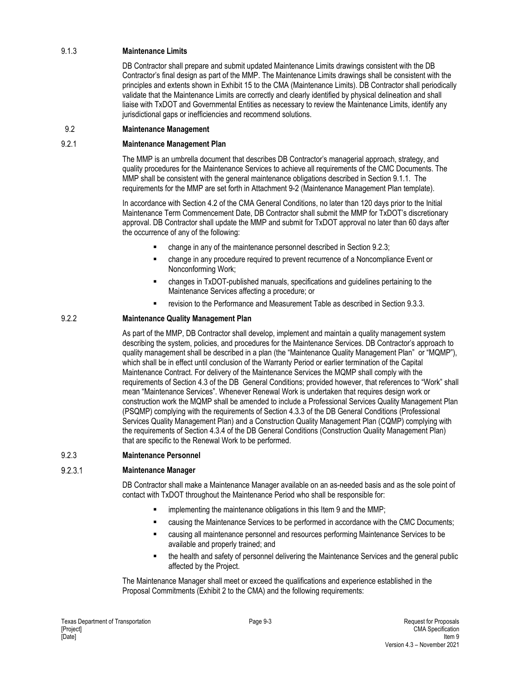## 9.1.3 **Maintenance Limits**

DB Contractor shall prepare and submit updated Maintenance Limits drawings consistent with the DB Contractor's final design as part of the MMP. The Maintenance Limits drawings shall be consistent with the principles and extents shown in Exhibit 15 to the CMA (Maintenance Limits). DB Contractor shall periodically validate that the Maintenance Limits are correctly and clearly identified by physical delineation and shall liaise with TxDOT and Governmental Entities as necessary to review the Maintenance Limits, identify any jurisdictional gaps or inefficiencies and recommend solutions.

#### 9.2 **Maintenance Management**

#### 9.2.1 **Maintenance Management Plan**

The MMP is an umbrella document that describes DB Contractor's managerial approach, strategy, and quality procedures for the Maintenance Services to achieve all requirements of the CMC Documents. The MMP shall be consistent with the general maintenance obligations described in Section 9.1.1. The requirements for the MMP are set forth in Attachment 9-2 (Maintenance Management Plan template).

In accordance with Section 4.2 of the CMA General Conditions, no later than 120 days prior to the Initial Maintenance Term Commencement Date, DB Contractor shall submit the MMP for TxDOT's discretionary approval. DB Contractor shall update the MMP and submit for TxDOT approval no later than 60 days after the occurrence of any of the following:

- change in any of the maintenance personnel described in Section 9.2.3;
- change in any procedure required to prevent recurrence of a Noncompliance Event or Nonconforming Work;
- changes in TxDOT-published manuals, specifications and guidelines pertaining to the Maintenance Services affecting a procedure; or
- revision to the Performance and Measurement Table as described in Section 9.3.3.

## 9.2.2 **Maintenance Quality Management Plan**

As part of the MMP, DB Contractor shall develop, implement and maintain a quality management system describing the system, policies, and procedures for the Maintenance Services. DB Contractor's approach to quality management shall be described in a plan (the "Maintenance Quality Management Plan" or "MQMP"), which shall be in effect until conclusion of the Warranty Period or earlier termination of the Capital Maintenance Contract. For delivery of the Maintenance Services the MQMP shall comply with the requirements of Section 4.3 of the DB General Conditions; provided however, that references to "Work" shall mean "Maintenance Services". Whenever Renewal Work is undertaken that requires design work or construction work the MQMP shall be amended to include a Professional Services Quality Management Plan (PSQMP) complying with the requirements of Section 4.3.3 of the DB General Conditions (Professional Services Quality Management Plan) and a Construction Quality Management Plan (CQMP) complying with the requirements of Section 4.3.4 of the DB General Conditions (Construction Quality Management Plan) that are specific to the Renewal Work to be performed.

#### 9.2.3 **Maintenance Personnel**

#### 9.2.3.1 **Maintenance Manager**

DB Contractor shall make a Maintenance Manager available on an as-needed basis and as the sole point of contact with TxDOT throughout the Maintenance Period who shall be responsible for:

- implementing the maintenance obligations in this Item 9 and the MMP;
- causing the Maintenance Services to be performed in accordance with the CMC Documents;
- causing all maintenance personnel and resources performing Maintenance Services to be available and properly trained; and
- the health and safety of personnel delivering the Maintenance Services and the general public affected by the Project.

The Maintenance Manager shall meet or exceed the qualifications and experience established in the Proposal Commitments (Exhibit 2 to the CMA) and the following requirements: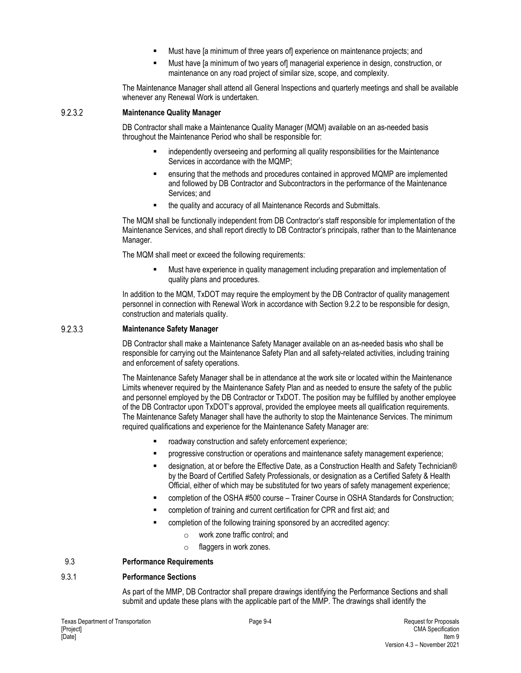- Must have [a minimum of three years of] experience on maintenance projects; and
- Must have [a minimum of two years of] managerial experience in design, construction, or maintenance on any road project of similar size, scope, and complexity.

The Maintenance Manager shall attend all General Inspections and quarterly meetings and shall be available whenever any Renewal Work is undertaken.

#### 9.2.3.2 **Maintenance Quality Manager**

DB Contractor shall make a Maintenance Quality Manager (MQM) available on an as-needed basis throughout the Maintenance Period who shall be responsible for:

- independently overseeing and performing all quality responsibilities for the Maintenance Services in accordance with the MQMP;
- ensuring that the methods and procedures contained in approved MQMP are implemented and followed by DB Contractor and Subcontractors in the performance of the Maintenance Services; and
- the quality and accuracy of all Maintenance Records and Submittals.

The MQM shall be functionally independent from DB Contractor's staff responsible for implementation of the Maintenance Services, and shall report directly to DB Contractor's principals, rather than to the Maintenance Manager.

The MQM shall meet or exceed the following requirements:

 Must have experience in quality management including preparation and implementation of quality plans and procedures.

In addition to the MQM, TxDOT may require the employment by the DB Contractor of quality management personnel in connection with Renewal Work in accordance with Section 9.2.2 to be responsible for design, construction and materials quality.

#### 9.2.3.3 **Maintenance Safety Manager**

DB Contractor shall make a Maintenance Safety Manager available on an as-needed basis who shall be responsible for carrying out the Maintenance Safety Plan and all safety-related activities, including training and enforcement of safety operations.

The Maintenance Safety Manager shall be in attendance at the work site or located within the Maintenance Limits whenever required by the Maintenance Safety Plan and as needed to ensure the safety of the public and personnel employed by the DB Contractor or TxDOT. The position may be fulfilled by another employee of the DB Contractor upon TxDOT's approval, provided the employee meets all qualification requirements. The Maintenance Safety Manager shall have the authority to stop the Maintenance Services. The minimum required qualifications and experience for the Maintenance Safety Manager are:

- roadway construction and safety enforcement experience;
- progressive construction or operations and maintenance safety management experience;
- designation, at or before the Effective Date, as a Construction Health and Safety Technician® by the Board of Certified Safety Professionals, or designation as a Certified Safety & Health Official, either of which may be substituted for two years of safety management experience;
- completion of the OSHA #500 course Trainer Course in OSHA Standards for Construction;
- completion of training and current certification for CPR and first aid; and
- completion of the following training sponsored by an accredited agency:
	- o work zone traffic control; and
	- o flaggers in work zones.

## 9.3 **Performance Requirements**

## 9.3.1 **Performance Sections**

As part of the MMP, DB Contractor shall prepare drawings identifying the Performance Sections and shall submit and update these plans with the applicable part of the MMP. The drawings shall identify the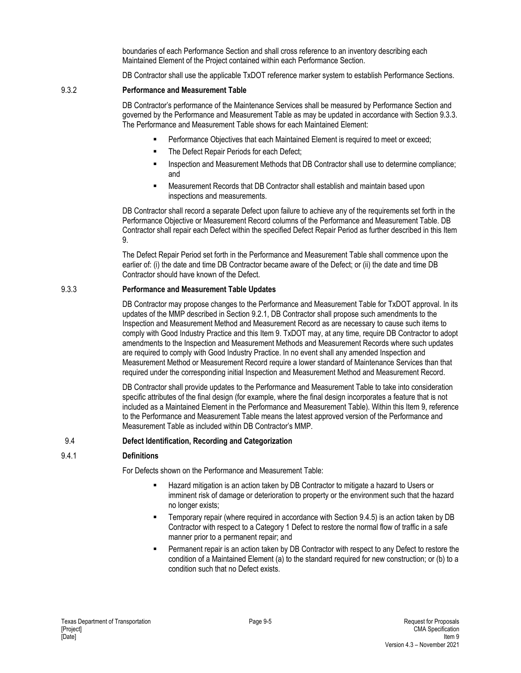boundaries of each Performance Section and shall cross reference to an inventory describing each Maintained Element of the Project contained within each Performance Section.

DB Contractor shall use the applicable TxDOT reference marker system to establish Performance Sections.

#### 9.3.2 **Performance and Measurement Table**

DB Contractor's performance of the Maintenance Services shall be measured by Performance Section and governed by the Performance and Measurement Table as may be updated in accordance with Section 9.3.3. The Performance and Measurement Table shows for each Maintained Element:

- Performance Objectives that each Maintained Element is required to meet or exceed;
- The Defect Repair Periods for each Defect;
- Inspection and Measurement Methods that DB Contractor shall use to determine compliance; and
- Measurement Records that DB Contractor shall establish and maintain based upon inspections and measurements.

DB Contractor shall record a separate Defect upon failure to achieve any of the requirements set forth in the Performance Objective or Measurement Record columns of the Performance and Measurement Table. DB Contractor shall repair each Defect within the specified Defect Repair Period as further described in this Item 9.

The Defect Repair Period set forth in the Performance and Measurement Table shall commence upon the earlier of: (i) the date and time DB Contractor became aware of the Defect; or (ii) the date and time DB Contractor should have known of the Defect.

#### 9.3.3 **Performance and Measurement Table Updates**

DB Contractor may propose changes to the Performance and Measurement Table for TxDOT approval. In its updates of the MMP described in Section 9.2.1, DB Contractor shall propose such amendments to the Inspection and Measurement Method and Measurement Record as are necessary to cause such items to comply with Good Industry Practice and this Item 9. TxDOT may, at any time, require DB Contractor to adopt amendments to the Inspection and Measurement Methods and Measurement Records where such updates are required to comply with Good Industry Practice. In no event shall any amended Inspection and Measurement Method or Measurement Record require a lower standard of Maintenance Services than that required under the corresponding initial Inspection and Measurement Method and Measurement Record.

DB Contractor shall provide updates to the Performance and Measurement Table to take into consideration specific attributes of the final design (for example, where the final design incorporates a feature that is not included as a Maintained Element in the Performance and Measurement Table). Within this Item 9, reference to the Performance and Measurement Table means the latest approved version of the Performance and Measurement Table as included within DB Contractor's MMP.

#### 9.4 **Defect Identification, Recording and Categorization**

## 9.4.1 **Definitions**

For Defects shown on the Performance and Measurement Table:

- Hazard mitigation is an action taken by DB Contractor to mitigate a hazard to Users or imminent risk of damage or deterioration to property or the environment such that the hazard no longer exists;
- Temporary repair (where required in accordance with Section 9.4.5) is an action taken by DB Contractor with respect to a Category 1 Defect to restore the normal flow of traffic in a safe manner prior to a permanent repair; and
- Permanent repair is an action taken by DB Contractor with respect to any Defect to restore the condition of a Maintained Element (a) to the standard required for new construction; or (b) to a condition such that no Defect exists.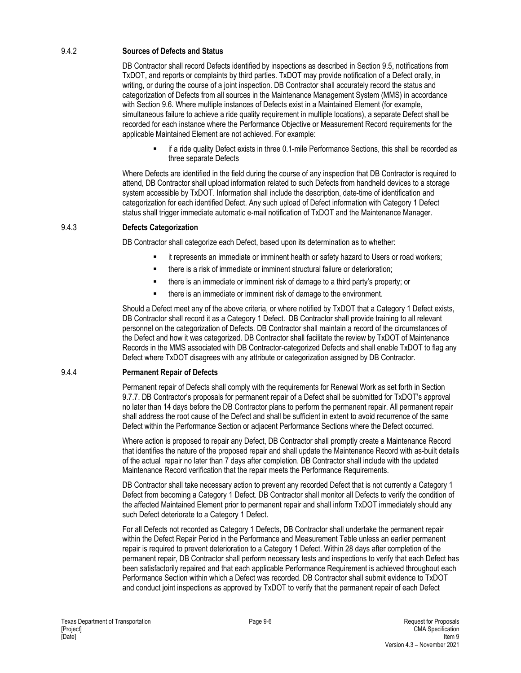## 9.4.2 **Sources of Defects and Status**

DB Contractor shall record Defects identified by inspections as described in Section 9.5, notifications from TxDOT, and reports or complaints by third parties. TxDOT may provide notification of a Defect orally, in writing, or during the course of a joint inspection. DB Contractor shall accurately record the status and categorization of Defects from all sources in the Maintenance Management System (MMS) in accordance with Section 9.6. Where multiple instances of Defects exist in a Maintained Element (for example, simultaneous failure to achieve a ride quality requirement in multiple locations), a separate Defect shall be recorded for each instance where the Performance Objective or Measurement Record requirements for the applicable Maintained Element are not achieved. For example:

 if a ride quality Defect exists in three 0.1-mile Performance Sections, this shall be recorded as three separate Defects

Where Defects are identified in the field during the course of any inspection that DB Contractor is required to attend, DB Contractor shall upload information related to such Defects from handheld devices to a storage system accessible by TxDOT. Information shall include the description, date-time of identification and categorization for each identified Defect. Any such upload of Defect information with Category 1 Defect status shall trigger immediate automatic e-mail notification of TxDOT and the Maintenance Manager.

#### 9.4.3 **Defects Categorization**

DB Contractor shall categorize each Defect, based upon its determination as to whether:

- it represents an immediate or imminent health or safety hazard to Users or road workers;
- there is a risk of immediate or imminent structural failure or deterioration;
- there is an immediate or imminent risk of damage to a third party's property; or
- there is an immediate or imminent risk of damage to the environment.

Should a Defect meet any of the above criteria, or where notified by TxDOT that a Category 1 Defect exists, DB Contractor shall record it as a Category 1 Defect. DB Contractor shall provide training to all relevant personnel on the categorization of Defects. DB Contractor shall maintain a record of the circumstances of the Defect and how it was categorized. DB Contractor shall facilitate the review by TxDOT of Maintenance Records in the MMS associated with DB Contractor-categorized Defects and shall enable TxDOT to flag any Defect where TxDOT disagrees with any attribute or categorization assigned by DB Contractor.

#### 9.4.4 **Permanent Repair of Defects**

Permanent repair of Defects shall comply with the requirements for Renewal Work as set forth in Section 9.7.7. DB Contractor's proposals for permanent repair of a Defect shall be submitted for TxDOT's approval no later than 14 days before the DB Contractor plans to perform the permanent repair. All permanent repair shall address the root cause of the Defect and shall be sufficient in extent to avoid recurrence of the same Defect within the Performance Section or adjacent Performance Sections where the Defect occurred.

Where action is proposed to repair any Defect, DB Contractor shall promptly create a Maintenance Record that identifies the nature of the proposed repair and shall update the Maintenance Record with as-built details of the actual repair no later than 7 days after completion. DB Contractor shall include with the updated Maintenance Record verification that the repair meets the Performance Requirements.

DB Contractor shall take necessary action to prevent any recorded Defect that is not currently a Category 1 Defect from becoming a Category 1 Defect. DB Contractor shall monitor all Defects to verify the condition of the affected Maintained Element prior to permanent repair and shall inform TxDOT immediately should any such Defect deteriorate to a Category 1 Defect.

For all Defects not recorded as Category 1 Defects, DB Contractor shall undertake the permanent repair within the Defect Repair Period in the Performance and Measurement Table unless an earlier permanent repair is required to prevent deterioration to a Category 1 Defect. Within 28 days after completion of the permanent repair, DB Contractor shall perform necessary tests and inspections to verify that each Defect has been satisfactorily repaired and that each applicable Performance Requirement is achieved throughout each Performance Section within which a Defect was recorded. DB Contractor shall submit evidence to TxDOT and conduct joint inspections as approved by TxDOT to verify that the permanent repair of each Defect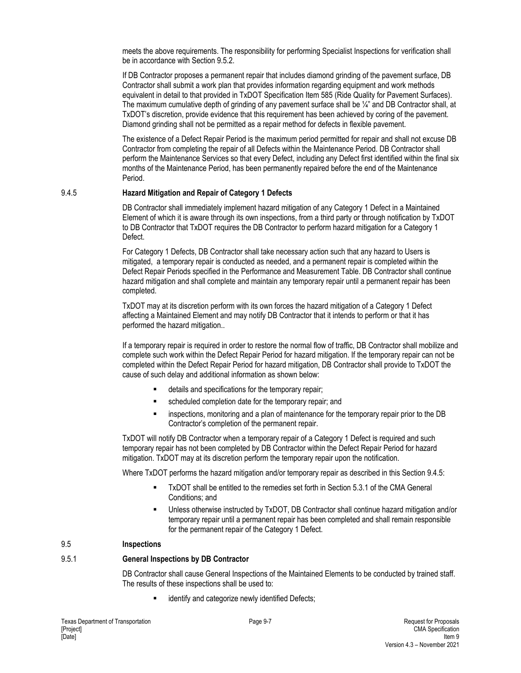meets the above requirements. The responsibility for performing Specialist Inspections for verification shall be in accordance with Section 9.5.2.

If DB Contractor proposes a permanent repair that includes diamond grinding of the pavement surface, DB Contractor shall submit a work plan that provides information regarding equipment and work methods equivalent in detail to that provided in TxDOT Specification Item 585 (Ride Quality for Pavement Surfaces). The maximum cumulative depth of grinding of any pavement surface shall be  $\mathcal{V}_4$ " and DB Contractor shall, at TxDOT's discretion, provide evidence that this requirement has been achieved by coring of the pavement. Diamond grinding shall not be permitted as a repair method for defects in flexible pavement.

The existence of a Defect Repair Period is the maximum period permitted for repair and shall not excuse DB Contractor from completing the repair of all Defects within the Maintenance Period. DB Contractor shall perform the Maintenance Services so that every Defect, including any Defect first identified within the final six months of the Maintenance Period, has been permanently repaired before the end of the Maintenance Period.

#### 9.4.5 **Hazard Mitigation and Repair of Category 1 Defects**

DB Contractor shall immediately implement hazard mitigation of any Category 1 Defect in a Maintained Element of which it is aware through its own inspections, from a third party or through notification by TxDOT to DB Contractor that TxDOT requires the DB Contractor to perform hazard mitigation for a Category 1 Defect.

For Category 1 Defects, DB Contractor shall take necessary action such that any hazard to Users is mitigated, a temporary repair is conducted as needed, and a permanent repair is completed within the Defect Repair Periods specified in the Performance and Measurement Table. DB Contractor shall continue hazard mitigation and shall complete and maintain any temporary repair until a permanent repair has been completed.

TxDOT may at its discretion perform with its own forces the hazard mitigation of a Category 1 Defect affecting a Maintained Element and may notify DB Contractor that it intends to perform or that it has performed the hazard mitigation..

If a temporary repair is required in order to restore the normal flow of traffic, DB Contractor shall mobilize and complete such work within the Defect Repair Period for hazard mitigation. If the temporary repair can not be completed within the Defect Repair Period for hazard mitigation, DB Contractor shall provide to TxDOT the cause of such delay and additional information as shown below:

- details and specifications for the temporary repair;
- scheduled completion date for the temporary repair; and
- inspections, monitoring and a plan of maintenance for the temporary repair prior to the DB Contractor's completion of the permanent repair.

TxDOT will notify DB Contractor when a temporary repair of a Category 1 Defect is required and such temporary repair has not been completed by DB Contractor within the Defect Repair Period for hazard mitigation. TxDOT may at its discretion perform the temporary repair upon the notification.

Where TxDOT performs the hazard mitigation and/or temporary repair as described in this Section 9.4.5:

- TxDOT shall be entitled to the remedies set forth in Section 5.3.1 of the CMA General Conditions; and
- Unless otherwise instructed by TxDOT, DB Contractor shall continue hazard mitigation and/or temporary repair until a permanent repair has been completed and shall remain responsible for the permanent repair of the Category 1 Defect.

## 9.5 **Inspections**

## 9.5.1 **General Inspections by DB Contractor**

DB Contractor shall cause General Inspections of the Maintained Elements to be conducted by trained staff. The results of these inspections shall be used to:

identify and categorize newly identified Defects;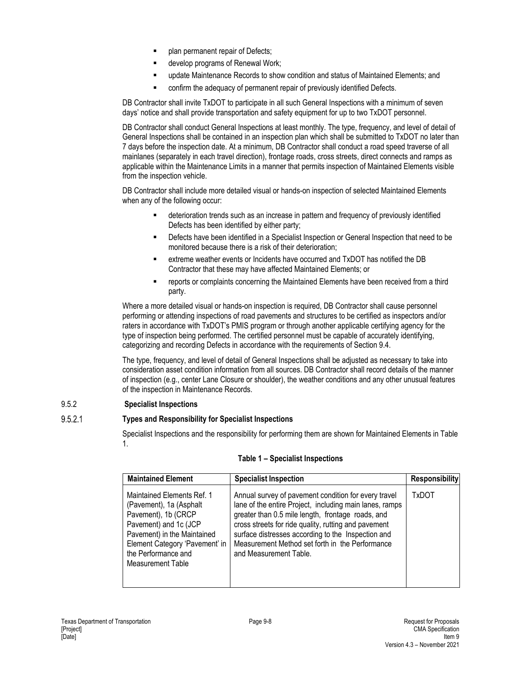- plan permanent repair of Defects;
- develop programs of Renewal Work;
- update Maintenance Records to show condition and status of Maintained Elements; and
- confirm the adequacy of permanent repair of previously identified Defects.

DB Contractor shall invite TxDOT to participate in all such General Inspections with a minimum of seven days' notice and shall provide transportation and safety equipment for up to two TxDOT personnel.

DB Contractor shall conduct General Inspections at least monthly. The type, frequency, and level of detail of General Inspections shall be contained in an inspection plan which shall be submitted to TxDOT no later than 7 days before the inspection date. At a minimum, DB Contractor shall conduct a road speed traverse of all mainlanes (separately in each travel direction), frontage roads, cross streets, direct connects and ramps as applicable within the Maintenance Limits in a manner that permits inspection of Maintained Elements visible from the inspection vehicle.

DB Contractor shall include more detailed visual or hands-on inspection of selected Maintained Elements when any of the following occur:

- deterioration trends such as an increase in pattern and frequency of previously identified Defects has been identified by either party;
- Defects have been identified in a Specialist Inspection or General Inspection that need to be monitored because there is a risk of their deterioration;
- extreme weather events or Incidents have occurred and TxDOT has notified the DB Contractor that these may have affected Maintained Elements; or
- reports or complaints concerning the Maintained Elements have been received from a third party.

Where a more detailed visual or hands-on inspection is required, DB Contractor shall cause personnel performing or attending inspections of road pavements and structures to be certified as inspectors and/or raters in accordance with TxDOT's PMIS program or through another applicable certifying agency for the type of inspection being performed. The certified personnel must be capable of accurately identifying, categorizing and recording Defects in accordance with the requirements of Section 9.4.

The type, frequency, and level of detail of General Inspections shall be adjusted as necessary to take into consideration asset condition information from all sources. DB Contractor shall record details of the manner of inspection (e.g., center Lane Closure or shoulder), the weather conditions and any other unusual features of the inspection in Maintenance Records.

## 9.5.2 **Specialist Inspections**

#### $9.5.2.1$ **Types and Responsibility for Specialist Inspections**

Specialist Inspections and the responsibility for performing them are shown for Maintained Elements in Table 1.

| <b>Maintained Element</b>                                                                                                                                                                                          | <b>Specialist Inspection</b>                                                                                                                                                                                                                                                                                                                                    | <b>Responsibility</b> |
|--------------------------------------------------------------------------------------------------------------------------------------------------------------------------------------------------------------------|-----------------------------------------------------------------------------------------------------------------------------------------------------------------------------------------------------------------------------------------------------------------------------------------------------------------------------------------------------------------|-----------------------|
| Maintained Elements Ref. 1<br>(Pavement), 1a (Asphalt<br>Pavement), 1b (CRCP<br>Pavement) and 1c (JCP<br>Pavement) in the Maintained<br>Element Category 'Pavement' in<br>the Performance and<br>Measurement Table | Annual survey of pavement condition for every travel<br>lane of the entire Project, including main lanes, ramps<br>greater than 0.5 mile length, frontage roads, and<br>cross streets for ride quality, rutting and pavement<br>surface distresses according to the Inspection and<br>Measurement Method set forth in the Performance<br>and Measurement Table. | TxDOT                 |

## **Table 1 – Specialist Inspections**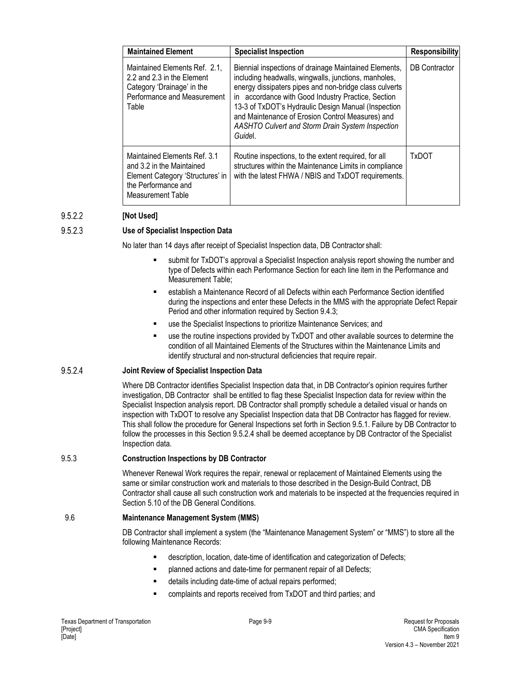| <b>Maintained Element</b>                                                                                                                                                                                                                                                                                                                                                                                                                                                                                                                               | <b>Specialist Inspection</b> | <b>Responsibility</b> |
|---------------------------------------------------------------------------------------------------------------------------------------------------------------------------------------------------------------------------------------------------------------------------------------------------------------------------------------------------------------------------------------------------------------------------------------------------------------------------------------------------------------------------------------------------------|------------------------------|-----------------------|
| Biennial inspections of drainage Maintained Elements,<br>Maintained Elements Ref. 2.1,<br>including headwalls, wingwalls, junctions, manholes,<br>2.2 and 2.3 in the Element<br>energy dissipaters pipes and non-bridge class culverts<br>Category 'Drainage' in the<br>Performance and Measurement<br>accordance with Good Industry Practice, Section<br>in.<br>13-3 of TxDOT's Hydraulic Design Manual (Inspection<br>Table<br>and Maintenance of Erosion Control Measures) and<br><b>AASHTO Culvert and Storm Drain System Inspection</b><br>Guidel. |                              | <b>DB</b> Contractor  |
| Maintained Elements Ref. 3.1<br>Routine inspections, to the extent required, for all<br>structures within the Maintenance Limits in compliance<br>and 3.2 in the Maintained<br>with the latest FHWA / NBIS and TxDOT requirements.<br>Element Category 'Structures' in<br>the Performance and<br><b>Measurement Table</b>                                                                                                                                                                                                                               |                              | TxDOT                 |

#### 9.5.2.2 **[Not Used]**

#### **Use of Specialist Inspection Data**   $9.5.2.3$

No later than 14 days after receipt of Specialist Inspection data, DB Contractor shall:

- submit for TxDOT's approval a Specialist Inspection analysis report showing the number and type of Defects within each Performance Section for each line item in the Performance and Measurement Table;
- establish a Maintenance Record of all Defects within each Performance Section identified during the inspections and enter these Defects in the MMS with the appropriate Defect Repair Period and other information required by Section 9.4.3;
- use the Specialist Inspections to prioritize Maintenance Services; and
- use the routine inspections provided by TxDOT and other available sources to determine the condition of all Maintained Elements of the Structures within the Maintenance Limits and identify structural and non-structural deficiencies that require repair.

#### 9.5.2.4 **Joint Review of Specialist Inspection Data**

Where DB Contractor identifies Specialist Inspection data that, in DB Contractor's opinion requires further investigation, DB Contractor shall be entitled to flag these Specialist Inspection data for review within the Specialist Inspection analysis report. DB Contractor shall promptly schedule a detailed visual or hands on inspection with TxDOT to resolve any Specialist Inspection data that DB Contractor has flagged for review. This shall follow the procedure for General Inspections set forth in Section 9.5.1. Failure by DB Contractor to follow the processes in this Section 9.5.2.4 shall be deemed acceptance by DB Contractor of the Specialist Inspection data.

## 9.5.3 **Construction Inspections by DB Contractor**

Whenever Renewal Work requires the repair, renewal or replacement of Maintained Elements using the same or similar construction work and materials to those described in the Design-Build Contract, DB Contractor shall cause all such construction work and materials to be inspected at the frequencies required in Section 5.10 of the DB General Conditions.

#### 9.6 **Maintenance Management System (MMS)**

DB Contractor shall implement a system (the "Maintenance Management System" or "MMS") to store all the following Maintenance Records:

- description, location, date-time of identification and categorization of Defects;
- planned actions and date-time for permanent repair of all Defects;
- details including date-time of actual repairs performed;
- complaints and reports received from TxDOT and third parties; and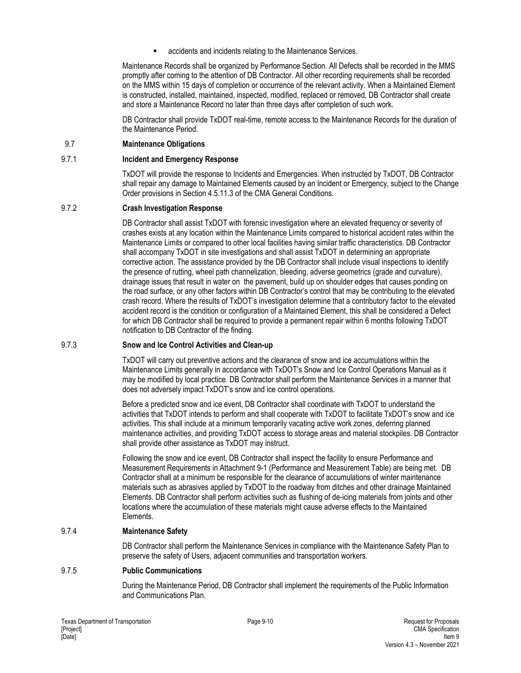**EXECT** accidents and incidents relating to the Maintenance Services.

Maintenance Records shall be organized by Performance Section. All Defects shall be recorded in the MMS promptly after coming to the attention of DB Contractor. All other recording requirements shall be recorded on the MMS within 15 days of completion or occurrence of the relevant activity. When a Maintained Element is constructed, installed, maintained, inspected, modified, replaced or removed, DB Contractor shall create and store a Maintenance Record no later than three days after completion of such work.

DB Contractor shall provide TxDOT real-time, remote access to the Maintenance Records for the duration of the Maintenance Period.

#### 9.7 **Maintenance Obligations**

#### 9.7.1 **Incident and Emergency Response**

TxDOT will provide the response to Incidents and Emergencies. When instructed by TxDOT, DB Contractor shall repair any damage to Maintained Elements caused by an Incident or Emergency, subject to the Change Order provisions in Section 4.5.11.3 of the CMA General Conditions.

#### 9.7.2 **Crash Investigation Response**

DB Contractor shall assist TxDOT with forensic investigation where an elevated frequency or severity of crashes exists at any location within the Maintenance Limits compared to historical accident rates within the Maintenance Limits or compared to other local facilities having similar traffic characteristics. DB Contractor shall accompany TxDOT in site investigations and shall assist TxDOT in determining an appropriate corrective action. The assistance provided by the DB Contractor shall include visual inspections to identify the presence of rutting, wheel path channelization, bleeding, adverse geometrics (grade and curvature), drainage issues that result in water on the pavement, build up on shoulder edges that causes ponding on the road surface, or any other factors within DB Contractor's control that may be contributing to the elevated crash record. Where the results of TxDOT's investigation determine that a contributory factor to the elevated accident record is the condition or configuration of a Maintained Element, this shall be considered a Defect for which DB Contractor shall be required to provide a permanent repair within 6 months following TxDOT notification to DB Contractor of the finding.

#### 9.7.3 **Snow and Ice Control Activities and Clean-up**

TxDOT will carry out preventive actions and the clearance of snow and ice accumulations within the Maintenance Limits generally in accordance with TxDOT's Snow and Ice Control Operations Manual as it may be modified by local practice. DB Contractor shall perform the Maintenance Services in a manner that does not adversely impact TxDOT's snow and ice control operations.

Before a predicted snow and ice event, DB Contractor shall coordinate with TxDOT to understand the activities that TxDOT intends to perform and shall cooperate with TxDOT to facilitate TxDOT's snow and ice activities. This shall include at a minimum temporarily vacating active work zones, deferring planned maintenance activities, and providing TxDOT access to storage areas and material stockpiles. DB Contractor shall provide other assistance as TxDOT may instruct.

Following the snow and ice event, DB Contractor shall inspect the facility to ensure Performance and Measurement Requirements in Attachment 9-1 (Performance and Measurement Table) are being met. DB Contractor shall at a minimum be responsible for the clearance of accumulations of winter maintenance materials such as abrasives applied by TxDOT to the roadway from ditches and other drainage Maintained Elements. DB Contractor shall perform activities such as flushing of de-icing materials from joints and other locations where the accumulation of these materials might cause adverse effects to the Maintained Elements.

#### 9.7.4 **Maintenance Safety**

DB Contractor shall perform the Maintenance Services in compliance with the Maintenance Safety Plan to preserve the safety of Users, adjacent communities and transportation workers.

#### 9.7.5 **Public Communications**

During the Maintenance Period, DB Contractor shall implement the requirements of the Public Information and Communications Plan.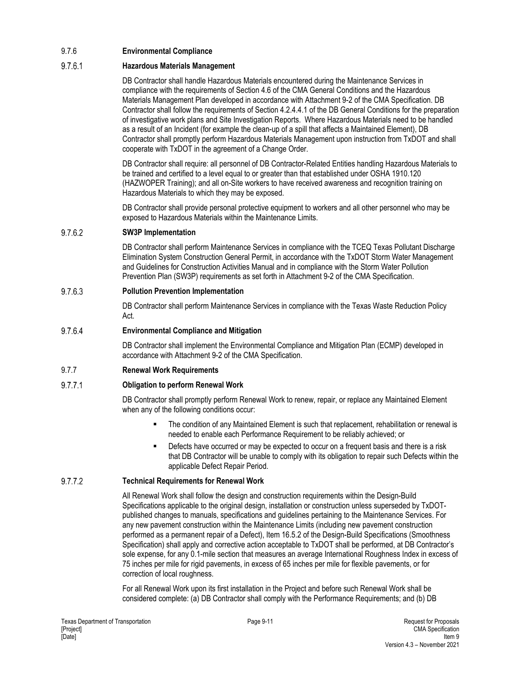## 9.7.6 **Environmental Compliance**

#### 9.7.6.1 **Hazardous Materials Management**

DB Contractor shall handle Hazardous Materials encountered during the Maintenance Services in compliance with the requirements of Section 4.6 of the CMA General Conditions and the Hazardous Materials Management Plan developed in accordance with Attachment 9-2 of the CMA Specification. DB Contractor shall follow the requirements of Section 4.2.4.4.1 of the DB General Conditions for the preparation of investigative work plans and Site Investigation Reports. Where Hazardous Materials need to be handled as a result of an Incident (for example the clean-up of a spill that affects a Maintained Element), DB Contractor shall promptly perform Hazardous Materials Management upon instruction from TxDOT and shall cooperate with TxDOT in the agreement of a Change Order.

DB Contractor shall require: all personnel of DB Contractor-Related Entities handling Hazardous Materials to be trained and certified to a level equal to or greater than that established under OSHA 1910.120 (HAZWOPER Training); and all on-Site workers to have received awareness and recognition training on Hazardous Materials to which they may be exposed.

DB Contractor shall provide personal protective equipment to workers and all other personnel who may be exposed to Hazardous Materials within the Maintenance Limits.

#### 9.7.6.2 **SW3P Implementation**

DB Contractor shall perform Maintenance Services in compliance with the TCEQ Texas Pollutant Discharge Elimination System Construction General Permit, in accordance with the TxDOT Storm Water Management and Guidelines for Construction Activities Manual and in compliance with the Storm Water Pollution Prevention Plan (SW3P) requirements as set forth in Attachment 9-2 of the CMA Specification.

#### 9.7.6.3 **Pollution Prevention Implementation**

DB Contractor shall perform Maintenance Services in compliance with the Texas Waste Reduction Policy Act.

#### 9.7.6.4 **Environmental Compliance and Mitigation**

DB Contractor shall implement the Environmental Compliance and Mitigation Plan (ECMP) developed in accordance with Attachment 9-2 of the CMA Specification.

## 9.7.7 **Renewal Work Requirements**

#### 9.7.7.1 **Obligation to perform Renewal Work**

DB Contractor shall promptly perform Renewal Work to renew, repair, or replace any Maintained Element when any of the following conditions occur:

- The condition of any Maintained Element is such that replacement, rehabilitation or renewal is needed to enable each Performance Requirement to be reliably achieved; or
- Defects have occurred or may be expected to occur on a frequent basis and there is a risk that DB Contractor will be unable to comply with its obligation to repair such Defects within the applicable Defect Repair Period.

#### 9.7.7.2 **Technical Requirements for Renewal Work**

All Renewal Work shall follow the design and construction requirements within the Design-Build Specifications applicable to the original design, installation or construction unless superseded by TxDOTpublished changes to manuals, specifications and guidelines pertaining to the Maintenance Services. For any new pavement construction within the Maintenance Limits (including new pavement construction performed as a permanent repair of a Defect), Item 16.5.2 of the Design-Build Specifications (Smoothness Specification) shall apply and corrective action acceptable to TxDOT shall be performed, at DB Contractor's sole expense, for any 0.1-mile section that measures an average International Roughness Index in excess of 75 inches per mile for rigid pavements, in excess of 65 inches per mile for flexible pavements, or for correction of local roughness.

For all Renewal Work upon its first installation in the Project and before such Renewal Work shall be considered complete: (a) DB Contractor shall comply with the Performance Requirements; and (b) DB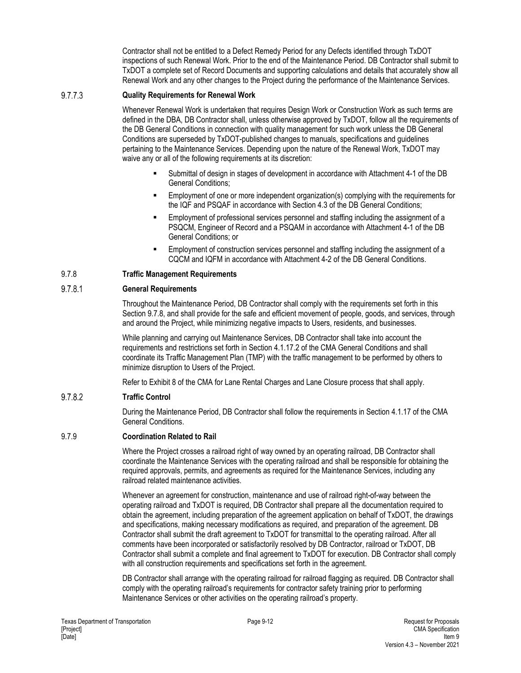Contractor shall not be entitled to a Defect Remedy Period for any Defects identified through TxDOT inspections of such Renewal Work. Prior to the end of the Maintenance Period. DB Contractor shall submit to TxDOT a complete set of Record Documents and supporting calculations and details that accurately show all Renewal Work and any other changes to the Project during the performance of the Maintenance Services.

#### 9.7.7.3 **Quality Requirements for Renewal Work**

Whenever Renewal Work is undertaken that requires Design Work or Construction Work as such terms are defined in the DBA, DB Contractor shall, unless otherwise approved by TxDOT, follow all the requirements of the DB General Conditions in connection with quality management for such work unless the DB General Conditions are superseded by TxDOT-published changes to manuals, specifications and guidelines pertaining to the Maintenance Services. Depending upon the nature of the Renewal Work, TxDOT may waive any or all of the following requirements at its discretion:

- Submittal of design in stages of development in accordance with Attachment 4-1 of the DB General Conditions;
- Employment of one or more independent organization(s) complying with the requirements for the IQF and PSQAF in accordance with Section 4.3 of the DB General Conditions;
- Employment of professional services personnel and staffing including the assignment of a PSQCM, Engineer of Record and a PSQAM in accordance with Attachment 4-1 of the DB General Conditions; or
- Employment of construction services personnel and staffing including the assignment of a CQCM and IQFM in accordance with Attachment 4-2 of the DB General Conditions.

## 9.7.8 **Traffic Management Requirements**

#### 9.7.8.1 **General Requirements**

Throughout the Maintenance Period, DB Contractor shall comply with the requirements set forth in this Section 9.7.8, and shall provide for the safe and efficient movement of people, goods, and services, through and around the Project, while minimizing negative impacts to Users, residents, and businesses.

While planning and carrying out Maintenance Services, DB Contractor shall take into account the requirements and restrictions set forth in Section 4.1.17.2 of the CMA General Conditions and shall coordinate its Traffic Management Plan (TMP) with the traffic management to be performed by others to minimize disruption to Users of the Project.

Refer to Exhibit 8 of the CMA for Lane Rental Charges and Lane Closure process that shall apply.

#### 9.7.8.2 **Traffic Control**

During the Maintenance Period, DB Contractor shall follow the requirements in Section 4.1.17 of the CMA General Conditions.

## 9.7.9 **Coordination Related to Rail**

Where the Project crosses a railroad right of way owned by an operating railroad, DB Contractor shall coordinate the Maintenance Services with the operating railroad and shall be responsible for obtaining the required approvals, permits, and agreements as required for the Maintenance Services, including any railroad related maintenance activities.

Whenever an agreement for construction, maintenance and use of railroad right-of-way between the operating railroad and TxDOT is required, DB Contractor shall prepare all the documentation required to obtain the agreement, including preparation of the agreement application on behalf of TxDOT, the drawings and specifications, making necessary modifications as required, and preparation of the agreement. DB Contractor shall submit the draft agreement to TxDOT for transmittal to the operating railroad. After all comments have been incorporated or satisfactorily resolved by DB Contractor, railroad or TxDOT, DB Contractor shall submit a complete and final agreement to TxDOT for execution. DB Contractor shall comply with all construction requirements and specifications set forth in the agreement.

DB Contractor shall arrange with the operating railroad for railroad flagging as required. DB Contractor shall comply with the operating railroad's requirements for contractor safety training prior to performing Maintenance Services or other activities on the operating railroad's property.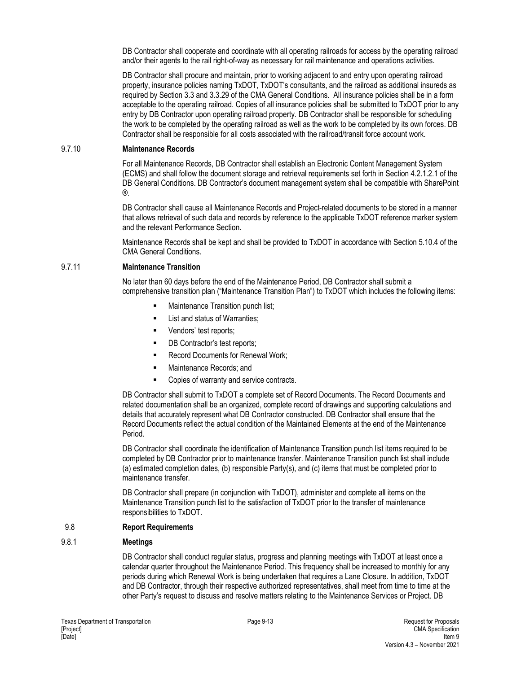DB Contractor shall cooperate and coordinate with all operating railroads for access by the operating railroad and/or their agents to the rail right-of-way as necessary for rail maintenance and operations activities.

DB Contractor shall procure and maintain, prior to working adjacent to and entry upon operating railroad property, insurance policies naming TxDOT, TxDOT's consultants, and the railroad as additional insureds as required by Section 3.3 and 3.3.29 of the CMA General Conditions. All insurance policies shall be in a form acceptable to the operating railroad. Copies of all insurance policies shall be submitted to TxDOT prior to any entry by DB Contractor upon operating railroad property. DB Contractor shall be responsible for scheduling the work to be completed by the operating railroad as well as the work to be completed by its own forces. DB Contractor shall be responsible for all costs associated with the railroad/transit force account work.

#### 9.7.10 **Maintenance Records**

For all Maintenance Records, DB Contractor shall establish an Electronic Content Management System (ECMS) and shall follow the document storage and retrieval requirements set forth in Section 4.2.1.2.1 of the DB General Conditions. DB Contractor's document management system shall be compatible with SharePoint ®.

DB Contractor shall cause all Maintenance Records and Project-related documents to be stored in a manner that allows retrieval of such data and records by reference to the applicable TxDOT reference marker system and the relevant Performance Section.

Maintenance Records shall be kept and shall be provided to TxDOT in accordance with Section 5.10.4 of the CMA General Conditions.

#### 9.7.11 **Maintenance Transition**

No later than 60 days before the end of the Maintenance Period, DB Contractor shall submit a comprehensive transition plan ("Maintenance Transition Plan") to TxDOT which includes the following items:

- **Maintenance Transition punch list;**
- **EXECUTE:** List and status of Warranties;
- **•** Vendors' test reports;
- **DB Contractor's test reports;**
- Record Documents for Renewal Work;
- **Maintenance Records; and**
- Copies of warranty and service contracts.

DB Contractor shall submit to TxDOT a complete set of Record Documents. The Record Documents and related documentation shall be an organized, complete record of drawings and supporting calculations and details that accurately represent what DB Contractor constructed. DB Contractor shall ensure that the Record Documents reflect the actual condition of the Maintained Elements at the end of the Maintenance Period.

DB Contractor shall coordinate the identification of Maintenance Transition punch list items required to be completed by DB Contractor prior to maintenance transfer. Maintenance Transition punch list shall include (a) estimated completion dates, (b) responsible Party(s), and (c) items that must be completed prior to maintenance transfer.

DB Contractor shall prepare (in conjunction with TxDOT), administer and complete all items on the Maintenance Transition punch list to the satisfaction of TxDOT prior to the transfer of maintenance responsibilities to TxDOT.

#### 9.8 **Report Requirements**

#### 9.8.1 **Meetings**

DB Contractor shall conduct regular status, progress and planning meetings with TxDOT at least once a calendar quarter throughout the Maintenance Period. This frequency shall be increased to monthly for any periods during which Renewal Work is being undertaken that requires a Lane Closure. In addition, TxDOT and DB Contractor, through their respective authorized representatives, shall meet from time to time at the other Party's request to discuss and resolve matters relating to the Maintenance Services or Project. DB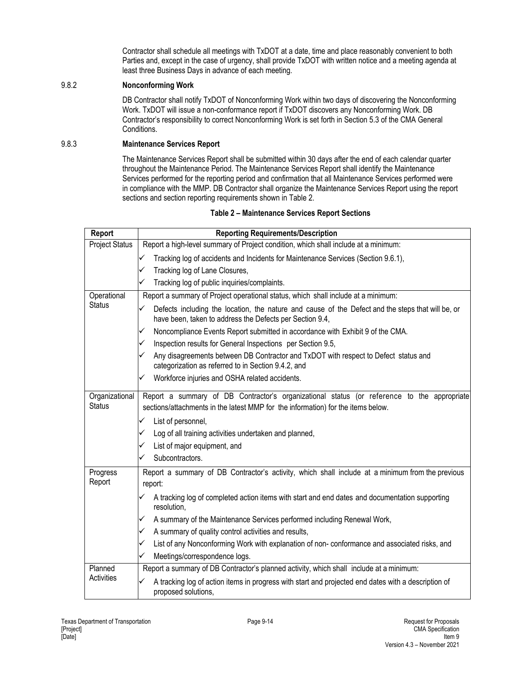Contractor shall schedule all meetings with TxDOT at a date, time and place reasonably convenient to both Parties and, except in the case of urgency, shall provide TxDOT with written notice and a meeting agenda at least three Business Days in advance of each meeting.

#### 9.8.2 **Nonconforming Work**

DB Contractor shall notify TxDOT of Nonconforming Work within two days of discovering the Nonconforming Work. TxDOT will issue a non-conformance report if TxDOT discovers any Nonconforming Work. DB Contractor's responsibility to correct Nonconforming Work is set forth in Section 5.3 of the CMA General Conditions.

#### 9.8.3 **Maintenance Services Report**

The Maintenance Services Report shall be submitted within 30 days after the end of each calendar quarter throughout the Maintenance Period. The Maintenance Services Report shall identify the Maintenance Services performed for the reporting period and confirmation that all Maintenance Services performed were in compliance with the MMP. DB Contractor shall organize the Maintenance Services Report using the report sections and section reporting requirements shown in Table 2.

#### **Table 2 – Maintenance Services Report Sections**

| Report                | <b>Reporting Requirements/Description</b>                                                                                                                          |
|-----------------------|--------------------------------------------------------------------------------------------------------------------------------------------------------------------|
| <b>Project Status</b> | Report a high-level summary of Project condition, which shall include at a minimum:                                                                                |
|                       | Tracking log of accidents and Incidents for Maintenance Services (Section 9.6.1),<br>✓                                                                             |
|                       | Tracking log of Lane Closures,<br>✓                                                                                                                                |
|                       | Tracking log of public inquiries/complaints.<br>✓                                                                                                                  |
| Operational           | Report a summary of Project operational status, which shall include at a minimum:                                                                                  |
| <b>Status</b>         | Defects including the location, the nature and cause of the Defect and the steps that will be, or<br>✓<br>have been, taken to address the Defects per Section 9.4, |
|                       | Noncompliance Events Report submitted in accordance with Exhibit 9 of the CMA.<br>✓                                                                                |
|                       | Inspection results for General Inspections per Section 9.5,<br>✓                                                                                                   |
|                       | Any disagreements between DB Contractor and TxDOT with respect to Defect status and<br>✓<br>categorization as referred to in Section 9.4.2, and                    |
|                       | Workforce injuries and OSHA related accidents.<br>✓                                                                                                                |
| Organizational        | Report a summary of DB Contractor's organizational status (or reference to the appropriate                                                                         |
| <b>Status</b>         | sections/attachments in the latest MMP for the information) for the items below.                                                                                   |
|                       | List of personnel,<br>✓                                                                                                                                            |
|                       | Log of all training activities undertaken and planned,<br>✓                                                                                                        |
|                       | List of major equipment, and<br>✓                                                                                                                                  |
|                       | Subcontractors.<br>✓                                                                                                                                               |
| Progress              | Report a summary of DB Contractor's activity, which shall include at a minimum from the previous                                                                   |
| Report                | report:                                                                                                                                                            |
|                       | A tracking log of completed action items with start and end dates and documentation supporting<br>✓<br>resolution,                                                 |
|                       | A summary of the Maintenance Services performed including Renewal Work,<br>✓                                                                                       |
|                       | A summary of quality control activities and results,<br>✓                                                                                                          |
|                       | List of any Nonconforming Work with explanation of non-conformance and associated risks, and<br>✓                                                                  |
|                       | Meetings/correspondence logs.<br>✓                                                                                                                                 |
| Planned               | Report a summary of DB Contractor's planned activity, which shall include at a minimum:                                                                            |
| <b>Activities</b>     | A tracking log of action items in progress with start and projected end dates with a description of<br>✓<br>proposed solutions,                                    |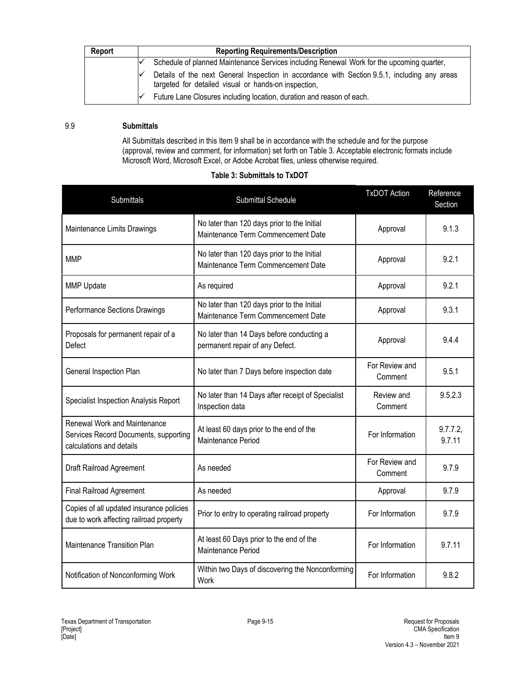| Report | <b>Reporting Requirements/Description</b>                                                                                                            |  |  |
|--------|------------------------------------------------------------------------------------------------------------------------------------------------------|--|--|
|        | Schedule of planned Maintenance Services including Renewal Work for the upcoming quarter,                                                            |  |  |
|        | Details of the next General Inspection in accordance with Section 9.5.1, including any areas<br>targeted for detailed visual or hands-on inspection, |  |  |
|        | Future Lane Closures including location, duration and reason of each.                                                                                |  |  |

#### 9.9 **Submittals**

All Submittals described in this Item 9 shall be in accordance with the schedule and for the purpose (approval, review and comment, for information) set forth on Table 3. Acceptable electronic formats include Microsoft Word, Microsoft Excel, or Adobe Acrobat files, unless otherwise required.

#### **Table 3: Submittals to TxDOT**

| Submittals                                                                                        | Submittal Schedule                                                                | <b>TxDOT Action</b>       | Reference<br>Section |
|---------------------------------------------------------------------------------------------------|-----------------------------------------------------------------------------------|---------------------------|----------------------|
| Maintenance Limits Drawings                                                                       | No later than 120 days prior to the Initial<br>Maintenance Term Commencement Date | Approval                  | 9.1.3                |
| <b>MMP</b>                                                                                        | No later than 120 days prior to the Initial<br>Maintenance Term Commencement Date | Approval                  | 9.2.1                |
| <b>MMP Update</b>                                                                                 | As required                                                                       | Approval                  | 9.2.1                |
| Performance Sections Drawings                                                                     | No later than 120 days prior to the Initial<br>Maintenance Term Commencement Date | Approval                  | 9.3.1                |
| Proposals for permanent repair of a<br>Defect                                                     | No later than 14 Days before conducting a<br>permanent repair of any Defect.      | Approval                  | 9.4.4                |
| <b>General Inspection Plan</b>                                                                    | No later than 7 Days before inspection date                                       | For Review and<br>Comment | 9.5.1                |
| Specialist Inspection Analysis Report                                                             | No later than 14 Days after receipt of Specialist<br>Inspection data              | Review and<br>Comment     | 9.5.2.3              |
| Renewal Work and Maintenance<br>Services Record Documents, supporting<br>calculations and details | At least 60 days prior to the end of the<br>Maintenance Period                    | For Information           | 9.7.7.2<br>9.7.11    |
| Draft Railroad Agreement                                                                          | As needed                                                                         | For Review and<br>Comment | 9.7.9                |
| <b>Final Railroad Agreement</b>                                                                   | As needed                                                                         | Approval                  | 9.7.9                |
| Copies of all updated insurance policies<br>due to work affecting railroad property               | Prior to entry to operating railroad property                                     | For Information           | 9.7.9                |
| Maintenance Transition Plan                                                                       | At least 60 Days prior to the end of the<br>Maintenance Period                    | For Information           | 9.7.11               |
| Notification of Nonconforming Work                                                                | Within two Days of discovering the Nonconforming<br><b>Work</b>                   | For Information           | 9.8.2                |